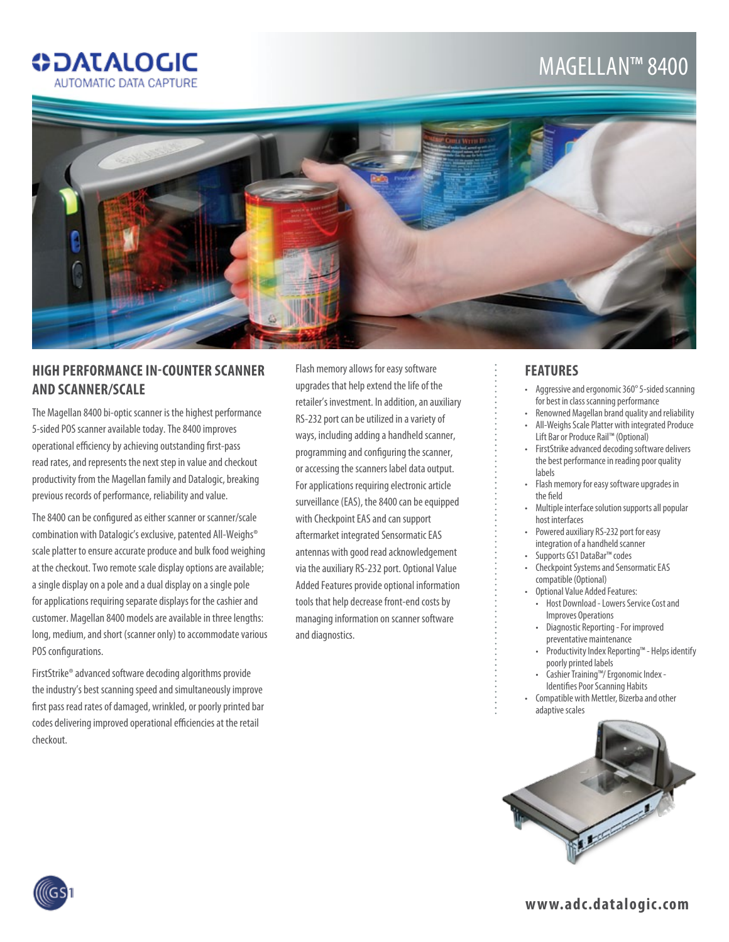## **ODATALOGIC** AUTOMATIC DATA CAPTURE

## Magellan™ 8400



## **High Performance In-Counter Scanner and Scanner/Scale**

The Magellan 8400 bi-optic scanner is the highest performance 5-sided POS scanner available today. The 8400 improves operational efficiency by achieving outstanding first-pass read rates, and represents the next step in value and checkout productivity from the Magellan family and Datalogic, breaking previous records of performance, reliability and value.

The 8400 can be configured as either scanner or scanner/scale combination with Datalogic's exclusive, patented All-Weighs® scale platter to ensure accurate produce and bulk food weighing at the checkout. Two remote scale display options are available; a single display on a pole and a dual display on a single pole for applications requiring separate displays for the cashier and customer. Magellan 8400 models are available in three lengths: long, medium, and short (scanner only) to accommodate various POS configurations.

FirstStrike® advanced software decoding algorithms provide the industry's best scanning speed and simultaneously improve first pass read rates of damaged, wrinkled, or poorly printed bar codes delivering improved operational efficiencies at the retail checkout.

Flash memory allows for easy software upgrades that help extend the life of the retailer's investment. In addition, an auxiliary RS-232 port can be utilized in a variety of ways, including adding a handheld scanner, programming and configuring the scanner, or accessing the scanners label data output. For applications requiring electronic article surveillance (EAS), the 8400 can be equipped with Checkpoint EAS and can support aftermarket integrated Sensormatic EAS antennas with good read acknowledgement via the auxiliary RS-232 port. Optional Value Added Features provide optional information tools that help decrease front-end costs by managing information on scanner software and diagnostics.

### **Features**

- Aggressive and ergonomic 360° 5-sided scanning for best in class scanning performance
- Renowned Magellan brand quality and reliability
- • All-Weighs Scale Platter with integrated Produce Lift Bar or Produce Rail™ (Optional)
- • FirstStrike advanced decoding software delivers the best performance in reading poor quality labels
- • Flash memory for easy software upgrades in the field
- Multiple interface solution supports all popular host interfaces
- • Powered auxiliary RS-232 port for easy integration of a handheld scanner
- • Supports GS1 DataBar™ codes
- • Checkpoint Systems and Sensormatic EAS compatible (Optional)
- Optional Value Added Features: • Host Download - Lowers Service Cost and Improves Operations
- Diagnostic Reporting For improved preventative maintenance
- • Productivity Index Reporting™ Helps identify poorly printed labels
- • Cashier Training™/ Ergonomic Index Identifies Poor Scanning Habits
- • Compatible with Mettler, Bizerba and other adaptive scales